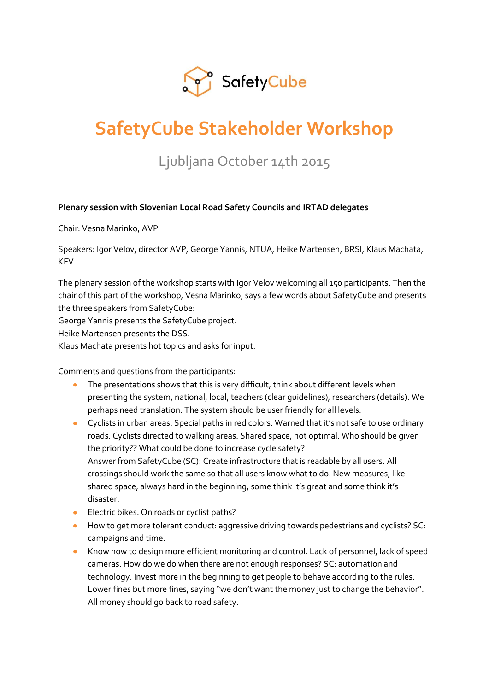

# **SafetyCube Stakeholder Workshop**

# Ljubljana October 14th 2015

# **Plenary session with Slovenian Local Road Safety Councils and IRTAD delegates**

Chair: Vesna Marinko, AVP

Speakers: Igor Velov, director AVP, George Yannis, NTUA, Heike Martensen, BRSI, Klaus Machata, KFV

The plenary session of the workshop starts with Igor Velov welcoming all 150 participants. Then the chair of this part of the workshop, Vesna Marinko, says a few words about SafetyCube and presents the three speakers from SafetyCube:

George Yannis presents the SafetyCube project.

Heike Martensen presents the DSS.

Klaus Machata presents hot topics and asks for input.

Comments and questions from the participants:

- The presentations shows that this is very difficult, think about different levels when presenting the system, national, local, teachers (clear guidelines), researchers (details). We perhaps need translation. The system should be user friendly for all levels.
- Cyclists in urban areas. Special paths in red colors. Warned that it's not safe to use ordinary roads. Cyclists directed to walking areas. Shared space, not optimal. Who should be given the priority?? What could be done to increase cycle safety? Answer from SafetyCube (SC): Create infrastructure that is readable by all users. All crossings should work the same so that all users know what to do. New measures, like shared space, always hard in the beginning, some think it's great and some think it's disaster.
- **Electric bikes. On roads or cyclist paths?**
- How to get more tolerant conduct: aggressive driving towards pedestrians and cyclists? SC: campaigns and time.
- Know how to design more efficient monitoring and control. Lack of personnel, lack of speed cameras. How do we do when there are not enough responses? SC: automation and technology. Invest more in the beginning to get people to behave according to the rules. Lower fines but more fines, saying "we don't want the money just to change the behavior". All money should go back to road safety.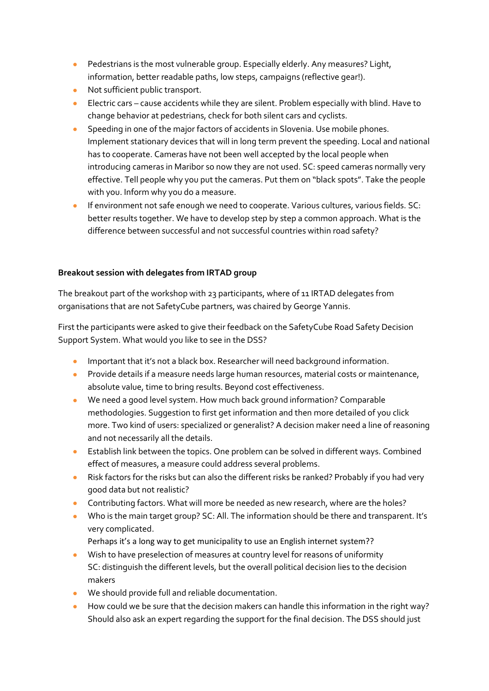- **•** Pedestrians is the most vulnerable group. Especially elderly. Any measures? Light, information, better readable paths, low steps, campaigns (reflective gear!).
- Not sufficient public transport.
- Electric cars cause accidents while they are silent. Problem especially with blind. Have to change behavior at pedestrians, check for both silent cars and cyclists.
- **Speeding in one of the major factors of accidents in Slovenia. Use mobile phones.** Implement stationary devices that will in long term prevent the speeding. Local and national has to cooperate. Cameras have not been well accepted by the local people when introducing cameras in Maribor so now they are not used. SC: speed cameras normally very effective. Tell people why you put the cameras. Put them on "black spots". Take the people with you. Inform why you do a measure.
- **If environment not safe enough we need to cooperate. Various cultures, various fields. SC:** better results together. We have to develop step by step a common approach. What is the difference between successful and not successful countries within road safety?

# **Breakout session with delegates from IRTAD group**

The breakout part of the workshop with 23 participants, where of 11 IRTAD delegates from organisations that are not SafetyCube partners, was chaired by George Yannis.

First the participants were asked to give their feedback on the SafetyCube Road Safety Decision Support System. What would you like to see in the DSS?

- **IMPORTANT INSTANT IN A STARK IN A STARK IN A STARK IN A STARK IN A STARK INCO** Information.
- **•** Provide details if a measure needs large human resources, material costs or maintenance, absolute value, time to bring results. Beyond cost effectiveness.
- We need a good level system. How much back ground information? Comparable methodologies. Suggestion to first get information and then more detailed of you click more. Two kind of users: specialized or generalist? A decision maker need a line of reasoning and not necessarily all the details.
- Establish link between the topics. One problem can be solved in different ways. Combined effect of measures, a measure could address several problems.
- Risk factors for the risks but can also the different risks be ranked? Probably if you had very good data but not realistic?
- **Contributing factors. What will more be needed as new research, where are the holes?**
- Who is the main target group? SC: All. The information should be there and transparent. It's very complicated.
	- Perhaps it's a long way to get municipality to use an English internet system??
- Wish to have preselection of measures at country level for reasons of uniformity SC: distinguish the different levels, but the overall political decision lies to the decision makers
- We should provide full and reliable documentation.
- How could we be sure that the decision makers can handle this information in the right way? Should also ask an expert regarding the support for the final decision. The DSS should just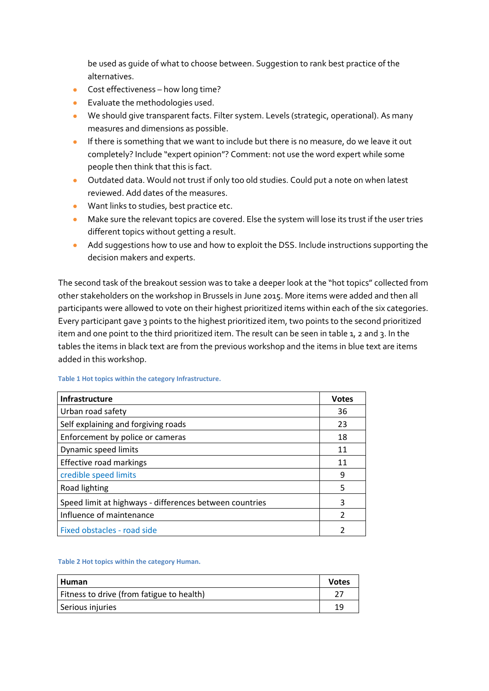be used as guide of what to choose between. Suggestion to rank best practice of the alternatives.

- Cost effectiveness how long time?
- **Evaluate the methodologies used.**
- We should give transparent facts. Filter system. Levels (strategic, operational). As many measures and dimensions as possible.
- **If there is something that we want to include but there is no measure, do we leave it out** completely? Include "expert opinion"? Comment: not use the word expert while some people then think that this is fact.
- Outdated data. Would not trust if only too old studies. Could put a note on when latest reviewed. Add dates of the measures.
- Want links to studies, best practice etc.
- Make sure the relevant topics are covered. Else the system will lose its trust if the user tries different topics without getting a result.
- Add suggestions how to use and how to exploit the DSS. Include instructions supporting the decision makers and experts.

The second task of the breakout session was to take a deeper look at the "hot topics" collected from other stakeholders on the workshop in Brussels in June 2015. More items were added and then all participants were allowed to vote on their highest prioritized items within each of the six categories. Every participant gave 3 points to the highest prioritized item, two points to the second prioritized item and one point to the third prioritized item. The result can be seen in table 1, 2 and 3. In the tables the items in black text are from the previous workshop and the items in blue text are items added in this workshop.

| Infrastructure                                          | <b>Votes</b> |
|---------------------------------------------------------|--------------|
| Urban road safety                                       | 36           |
| Self explaining and forgiving roads                     | 23           |
| Enforcement by police or cameras                        | 18           |
| Dynamic speed limits                                    | 11           |
| Effective road markings                                 | 11           |
| credible speed limits                                   | 9            |
| Road lighting                                           | 5            |
| Speed limit at highways - differences between countries | 3            |
| Influence of maintenance                                |              |
| Fixed obstacles - road side                             |              |

**Table 1 Hot topics within the category Infrastructure.**

#### **Table 2 Hot topics within the category Human.**

| Human                                     | <b>Votes</b> |
|-------------------------------------------|--------------|
| Fitness to drive (from fatigue to health) |              |
| Serious injuries                          | 19           |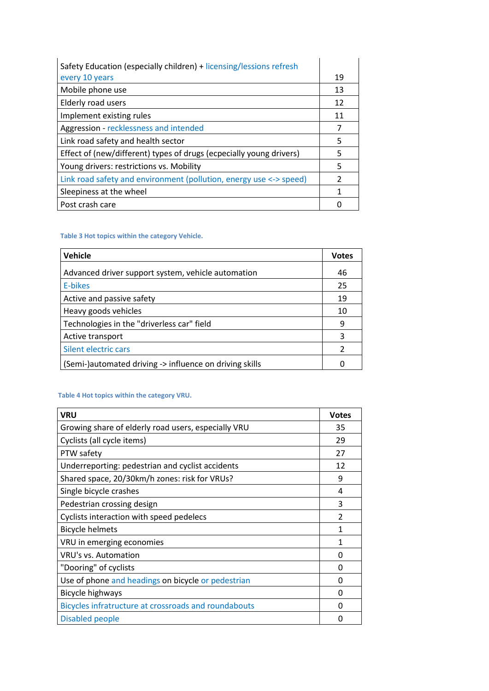| Safety Education (especially children) + licensing/lessions refresh |    |
|---------------------------------------------------------------------|----|
| every 10 years                                                      | 19 |
| Mobile phone use                                                    | 13 |
| Elderly road users                                                  | 12 |
| Implement existing rules                                            | 11 |
| Aggression - recklessness and intended                              | 7  |
| Link road safety and health sector                                  | 5  |
| Effect of (new/different) types of drugs (ecpecially young drivers) | 5  |
| Young drivers: restrictions vs. Mobility                            | 5  |
| Link road safety and environment (pollution, energy use <-> speed)  | 2  |
| Sleepiness at the wheel                                             | 1  |
| Post crash care                                                     |    |

## **Table 3 Hot topics within the category Vehicle.**

| Vehicle                                                 | <b>Votes</b> |
|---------------------------------------------------------|--------------|
| Advanced driver support system, vehicle automation      | 46           |
| E-bikes                                                 | 25           |
| Active and passive safety                               | 19           |
| Heavy goods vehicles                                    | 10           |
| Technologies in the "driverless car" field              | 9            |
| Active transport                                        | 3            |
| Silent electric cars                                    | 2            |
| (Semi-)automated driving -> influence on driving skills |              |

#### **Table 4 Hot topics within the category VRU.**

| <b>VRU</b>                                           | <b>Votes</b> |
|------------------------------------------------------|--------------|
| Growing share of elderly road users, especially VRU  | 35           |
| Cyclists (all cycle items)                           | 29           |
| PTW safety                                           | 27           |
| Underreporting: pedestrian and cyclist accidents     | 12           |
| Shared space, 20/30km/h zones: risk for VRUs?        | 9            |
| Single bicycle crashes                               | 4            |
| Pedestrian crossing design                           | 3            |
| Cyclists interaction with speed pedelecs             | 2            |
| <b>Bicycle helmets</b>                               |              |
| VRU in emerging economies                            | 1            |
| VRU's vs. Automation                                 | O            |
| "Dooring" of cyclists                                | O            |
| Use of phone and headings on bicycle or pedestrian   | 0            |
| <b>Bicycle highways</b>                              | 0            |
| Bicycles infratructure at crossroads and roundabouts | O            |
| Disabled people                                      | O            |